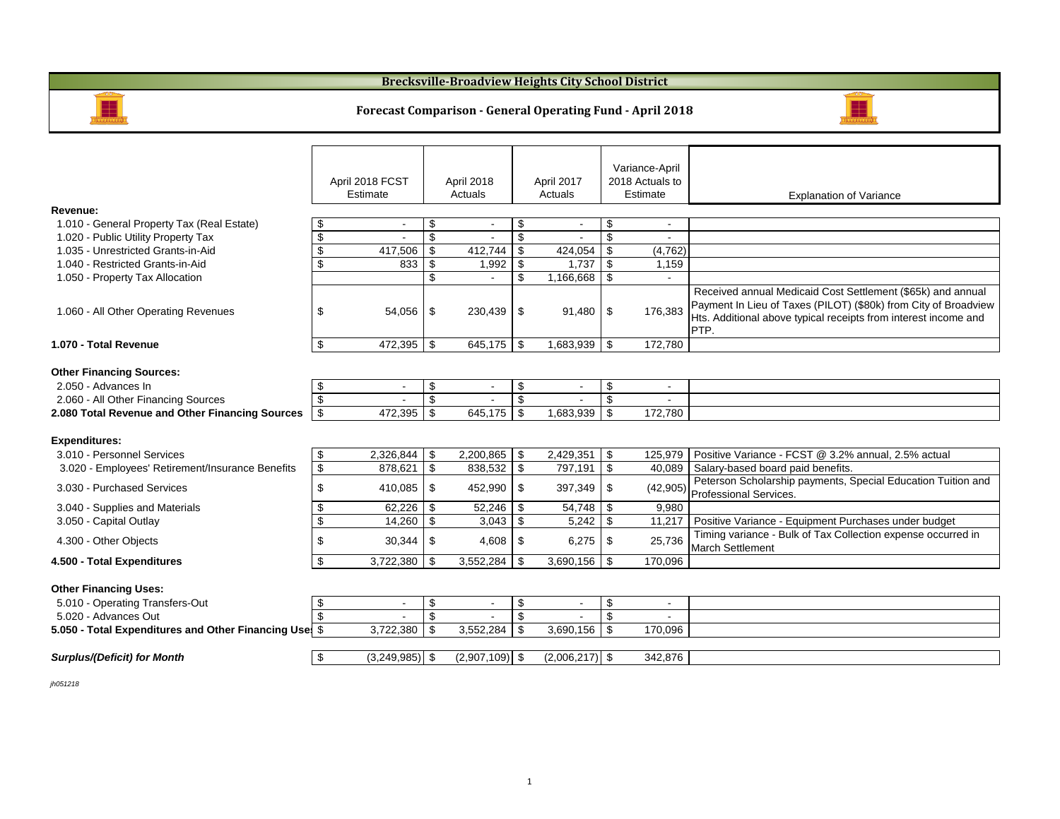#### **Brecksville-Broadview Heights City School District**



#### **Forecast Comparison - General Operating Fund - April 2018**



|                                                        |                |                  |         |                  |         |                  |          | Variance-April           |                                                                                                                                                                                                           |
|--------------------------------------------------------|----------------|------------------|---------|------------------|---------|------------------|----------|--------------------------|-----------------------------------------------------------------------------------------------------------------------------------------------------------------------------------------------------------|
|                                                        |                | April 2018 FCST  |         | April 2018       |         | April 2017       |          | 2018 Actuals to          |                                                                                                                                                                                                           |
|                                                        |                | Estimate         | Actuals |                  | Actuals |                  | Estimate |                          | <b>Explanation of Variance</b>                                                                                                                                                                            |
| Revenue:                                               |                |                  |         |                  |         |                  |          |                          |                                                                                                                                                                                                           |
| 1.010 - General Property Tax (Real Estate)             | £              |                  | \$      | $\blacksquare$   | \$      |                  | \$       | $\overline{\phantom{a}}$ |                                                                                                                                                                                                           |
| 1.020 - Public Utility Property Tax                    | \$             |                  | \$      |                  | \$      |                  | \$       | $\overline{\phantom{a}}$ |                                                                                                                                                                                                           |
| 1.035 - Unrestricted Grants-in-Aid                     | \$             | 417,506          | \$      | 412,744          | \$      | 424,054          | \$       | (4,762)                  |                                                                                                                                                                                                           |
| 1.040 - Restricted Grants-in-Aid                       | \$             | 833              | \$      | 1,992            | \$      | 1,737            | l \$     | 1,159                    |                                                                                                                                                                                                           |
| 1.050 - Property Tax Allocation                        |                |                  | \$      |                  | \$      | $1,166,668$ \ \$ |          |                          |                                                                                                                                                                                                           |
| 1.060 - All Other Operating Revenues                   | \$             | $54.056$ \ \$    |         | 230,439          | \$      | $91,480$ \$      |          | 176,383                  | Received annual Medicaid Cost Settlement (\$65k) and annual<br>Payment In Lieu of Taxes (PILOT) (\$80k) from City of Broadview<br>Hts. Additional above typical receipts from interest income and<br>PTP. |
| 1.070 - Total Revenue                                  | \$             | 472,395          | \$      | 645,175          | \$      | $1,683,939$ \$   |          | 172,780                  |                                                                                                                                                                                                           |
| <b>Other Financing Sources:</b><br>2.050 - Advances In | \$             |                  | \$      |                  | \$      |                  | \$       | $\blacksquare$           |                                                                                                                                                                                                           |
| 2.060 - All Other Financing Sources                    | \$             |                  | \$      |                  | \$      |                  | \$       |                          |                                                                                                                                                                                                           |
| 2.080 Total Revenue and Other Financing Sources        | \$             | 472,395          | \$      | 645,175          | \$      | 1,683,939        | \$       | 172,780                  |                                                                                                                                                                                                           |
| <b>Expenditures:</b>                                   |                |                  |         |                  |         |                  |          |                          |                                                                                                                                                                                                           |
| 3.010 - Personnel Services                             | -\$            | 2,326,844        | \$      | 2,200,865        | \$      | 2,429,351        | \$       | 125,979                  | Positive Variance - FCST @ 3.2% annual, 2.5% actual                                                                                                                                                       |
| 3.020 - Employees' Retirement/Insurance Benefits       | \$             | 878.621          | \$      | 838,532          | \$      | 797,191          | \$       | 40,089                   | Salary-based board paid benefits.                                                                                                                                                                         |
| 3.030 - Purchased Services                             | \$             | 410,085          | \$      | 452,990          | \$      | $397,349$ \$     |          | (42,905)                 | Peterson Scholarship payments, Special Education Tuition and<br>Professional Services.                                                                                                                    |
| 3.040 - Supplies and Materials                         | \$             | 62,226           | \$      | 52,246           | \$      |                  |          | 9,980                    |                                                                                                                                                                                                           |
| 3.050 - Capital Outlay                                 | \$             | 14,260           | \$      | 3,043            | \$      | 5.242            | <b>S</b> | 11,217                   | Positive Variance - Equipment Purchases under budget                                                                                                                                                      |
| 4.300 - Other Objects                                  | \$             | 30,344           | \$      | 4,608            | \$      |                  |          | 25,736                   | Timing variance - Bulk of Tax Collection expense occurred in<br><b>March Settlement</b>                                                                                                                   |
| 4.500 - Total Expenditures                             | \$             | 3,722,380        | \$      | 3,552,284        | \$      | $3,690,156$ \$   |          | 170,096                  |                                                                                                                                                                                                           |
| <b>Other Financing Uses:</b>                           |                |                  |         |                  |         |                  |          |                          |                                                                                                                                                                                                           |
| 5.010 - Operating Transfers-Out                        | \$             | $\blacksquare$   | \$      | $\blacksquare$   | \$      | $\blacksquare$   | \$       | $\overline{\phantom{a}}$ |                                                                                                                                                                                                           |
| 5.020 - Advances Out                                   | $\mathfrak{L}$ |                  | \$      |                  | \$      |                  | \$       |                          |                                                                                                                                                                                                           |
| 5.050 - Total Expenditures and Other Financing Use     |                | 3,722,380        | \$      | 3,552,284        | \$      | 3,690,156        | \$       | 170,096                  |                                                                                                                                                                                                           |
|                                                        |                |                  |         |                  |         |                  |          |                          |                                                                                                                                                                                                           |
| <b>Surplus/(Deficit) for Month</b>                     | \$             | $(3,249,985)$ \$ |         | $(2,907,109)$ \$ |         | $(2,006,217)$ \$ |          | 342,876                  |                                                                                                                                                                                                           |

*jh051218*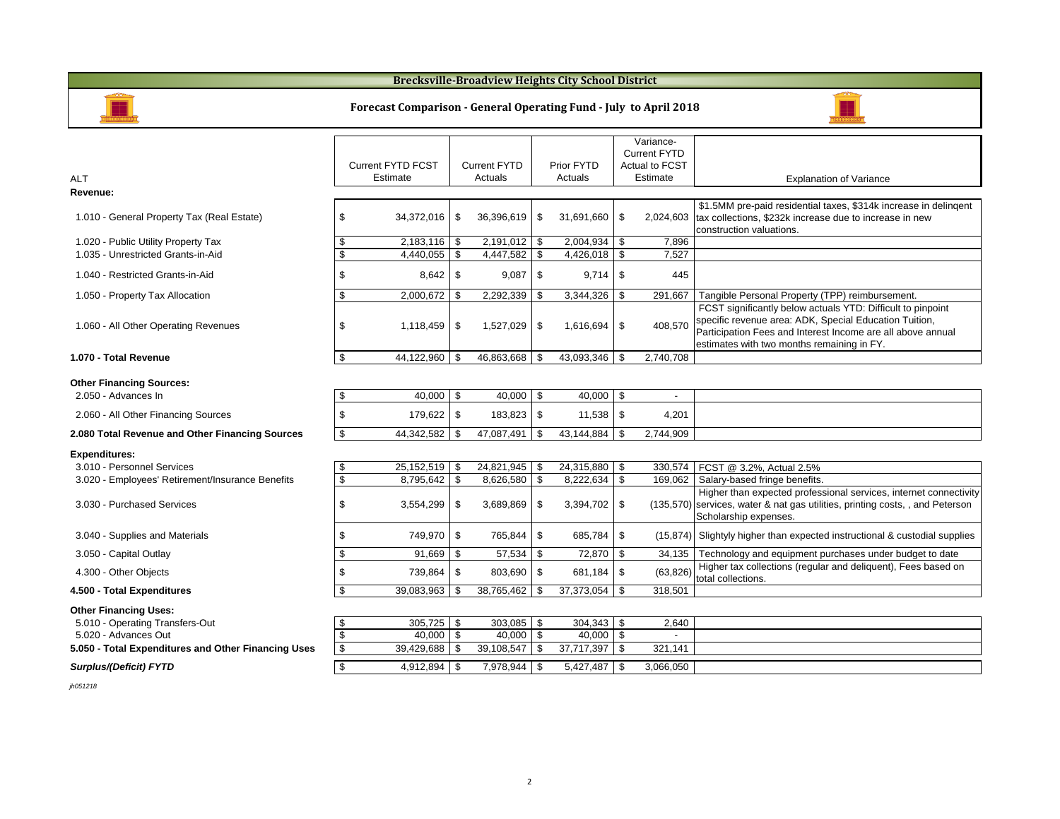#### **Brecksville-Broadview Heights City School District**



ALT

**Revenue:**

#### **Forecast Comparison - General Operating Fund - July to April 2018**



#### **Other Financing Sources:**

| .<br>2.050 - Advances In                        | 40.000        | $40,000$ \$  | 40.000          |           |  |
|-------------------------------------------------|---------------|--------------|-----------------|-----------|--|
| 2.060 - All Other Financing Sources             | $179.622$ S   |              |                 | 4,201     |  |
| 2.080 Total Revenue and Other Financing Sources | 44.342.582    | 47.087.491 S | 43.144.884   \$ | 2.744.909 |  |
| <b>Expenditures:</b>                            |               |              |                 |           |  |
|                                                 | -- - -- - - - | .            | .               |           |  |

| 3.010 - Personnel Services                       | $25,152,519$ \\$  |                  | 24,315,880   \$   |           | 330,574   FCST @ 3.2%, Actual 2.5%                                                                                                                                          |
|--------------------------------------------------|-------------------|------------------|-------------------|-----------|-----------------------------------------------------------------------------------------------------------------------------------------------------------------------------|
| 3.020 - Employees' Retirement/Insurance Benefits |                   | $8,626,580$ \ \$ | $8,222,634$ \$    |           | 169,062   Salary-based fringe benefits.                                                                                                                                     |
| 3.030 - Purchased Services                       |                   | $3.689.869$ \ \$ |                   |           | Higher than expected professional services, internet connectivity<br>(135,570) services, water & nat gas utilities, printing costs, , and Peterson<br>Scholarship expenses. |
| 3.040 - Supplies and Materials                   | 749.970   \$      | 765,844 \$       | 685,784 \$        |           | $(15,874)$ Slightyly higher than expected instructional & custodial supplies                                                                                                |
| 3.050 - Capital Outlay                           | $91,669$ \$       | 57,534 \$        | 72,870 \$         | 34.135    | Technology and equipment purchases under budget to date                                                                                                                     |
| 4.300 - Other Objects                            | 739.864   \$      | 803,690 \$       | $681,184$ \ \$    | (63, 826) | Higher tax collections (regular and deliquent), Fees based on<br>total collections.                                                                                         |
| 4.500 - Total Expenditures                       | $39,083,963$ \\$  | $38,765,462$ \$  | 37,373,054 \$     | 318,501   |                                                                                                                                                                             |
| Other Financing Uses:                            |                   |                  |                   |           |                                                                                                                                                                             |
| 5.010 - Operating Transfers-Out                  | $305,725$ \\$     | 303,085 \$       |                   | 2,640     |                                                                                                                                                                             |
|                                                  | $\cdots$ $\cdots$ |                  | $\cdots$ $\cdots$ |           |                                                                                                                                                                             |

| 305,725    |            |                        |           |                                      |
|------------|------------|------------------------|-----------|--------------------------------------|
| 40.000     |            | 40.000                 |           |                                      |
| 39.429.688 | 39.108.547 | 37.717.397             | 321.141   |                                      |
|            |            |                        |           |                                      |
|            |            | 5.427.487              | 3.066.050 |                                      |
|            | 4.912.894  | 40.000 \$<br>7.978.944 |           | $303,085$   \$<br>304.343 1<br>2,640 |

*jh051218*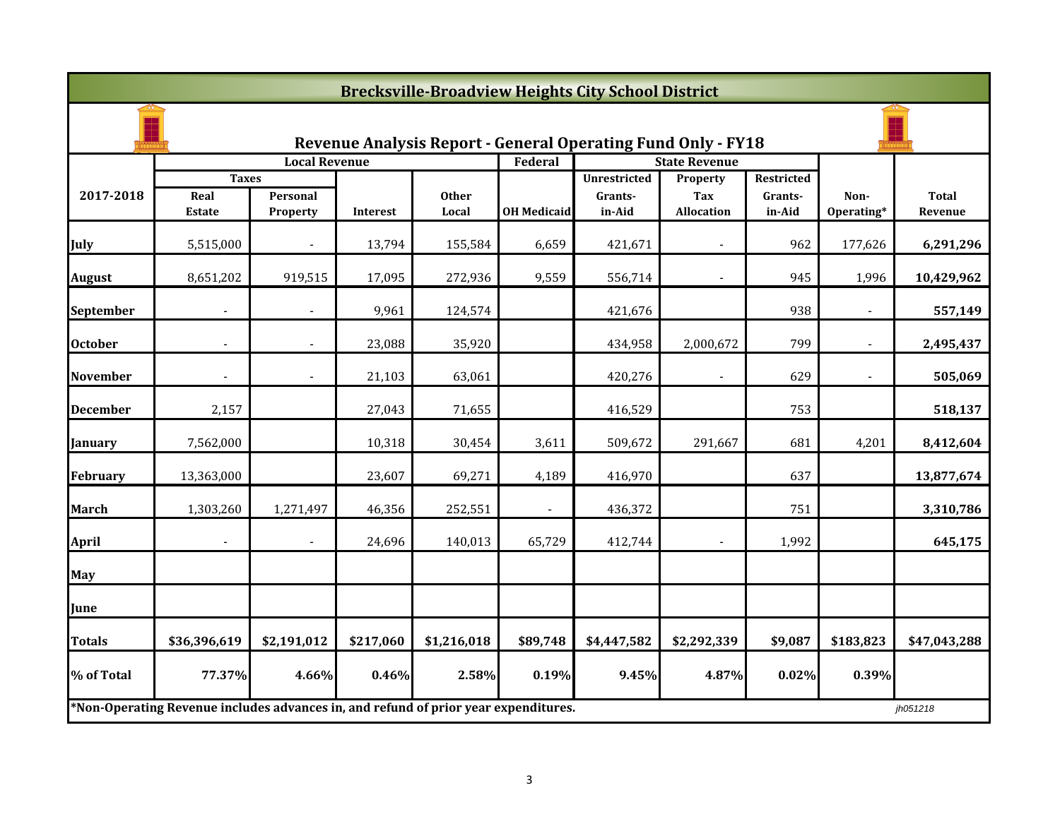|                                                                     | <b>Brecksville-Broadview Heights City School District</b>                           |                             |           |                       |                          |                     |                          |                   |                    |                         |  |
|---------------------------------------------------------------------|-------------------------------------------------------------------------------------|-----------------------------|-----------|-----------------------|--------------------------|---------------------|--------------------------|-------------------|--------------------|-------------------------|--|
| <b>Revenue Analysis Report - General Operating Fund Only - FY18</b> |                                                                                     |                             |           |                       |                          |                     |                          |                   |                    |                         |  |
|                                                                     |                                                                                     | <b>Local Revenue</b>        |           |                       | Federal                  |                     | <b>State Revenue</b>     |                   |                    |                         |  |
|                                                                     | <b>Taxes</b>                                                                        |                             |           |                       |                          | <b>Unrestricted</b> | Property                 | Restricted        |                    |                         |  |
| 2017-2018                                                           | Real<br><b>Estate</b>                                                               | Personal<br><b>Property</b> | Interest  | <b>Other</b><br>Local | <b>OH Medicaid</b>       | Grants-<br>in-Aid   | Tax<br><b>Allocation</b> | Grants-<br>in-Aid | Non-<br>Operating* | <b>Total</b><br>Revenue |  |
| July                                                                | 5,515,000                                                                           |                             | 13,794    | 155,584               | 6,659                    | 421,671             |                          | 962               | 177,626            | 6,291,296               |  |
| <b>August</b>                                                       | 8,651,202                                                                           | 919,515                     | 17,095    | 272,936               | 9,559                    | 556,714             |                          | 945               | 1,996              | 10,429,962              |  |
| September                                                           |                                                                                     |                             | 9,961     | 124,574               |                          | 421,676             |                          | 938               |                    | 557,149                 |  |
| <b>October</b>                                                      | $\overline{a}$                                                                      | $\overline{a}$              | 23,088    | 35,920                |                          | 434,958             | 2,000,672                | 799               | $\overline{a}$     | 2,495,437               |  |
| <b>November</b>                                                     | $\overline{\phantom{a}}$                                                            | $\overline{\phantom{a}}$    | 21,103    | 63,061                |                          | 420,276             | $\blacksquare$           | 629               | $\blacksquare$     | 505,069                 |  |
| <b>December</b>                                                     | 2,157                                                                               |                             | 27,043    | 71,655                |                          | 416,529             |                          | 753               |                    | 518,137                 |  |
| January                                                             | 7,562,000                                                                           |                             | 10,318    | 30,454                | 3,611                    | 509,672             | 291,667                  | 681               | 4,201              | 8,412,604               |  |
| February                                                            | 13,363,000                                                                          |                             | 23,607    | 69,271                | 4,189                    | 416,970             |                          | 637               |                    | 13,877,674              |  |
| <b>March</b>                                                        | 1,303,260                                                                           | 1,271,497                   | 46,356    | 252,551               | $\overline{\phantom{a}}$ | 436,372             |                          | 751               |                    | 3,310,786               |  |
| <b>April</b>                                                        | $\overline{\phantom{a}}$                                                            | $\overline{\phantom{a}}$    | 24,696    | 140,013               | 65,729                   | 412,744             |                          | 1,992             |                    | 645,175                 |  |
| <b>May</b>                                                          |                                                                                     |                             |           |                       |                          |                     |                          |                   |                    |                         |  |
| June                                                                |                                                                                     |                             |           |                       |                          |                     |                          |                   |                    |                         |  |
| <b>Totals</b>                                                       | \$36,396,619                                                                        | \$2,191,012                 | \$217,060 | \$1,216,018           | \$89,748                 | \$4,447,582         | \$2,292,339              | \$9,087           | \$183,823          | \$47,043,288            |  |
| % of Total                                                          | 77.37%                                                                              | 4.66%                       | 0.46%     | 2.58%                 | 0.19%                    | 9.45%               | 4.87%                    | 0.02%             | 0.39%              |                         |  |
|                                                                     | *Non-Operating Revenue includes advances in, and refund of prior year expenditures. |                             |           |                       |                          |                     |                          |                   |                    | jh051218                |  |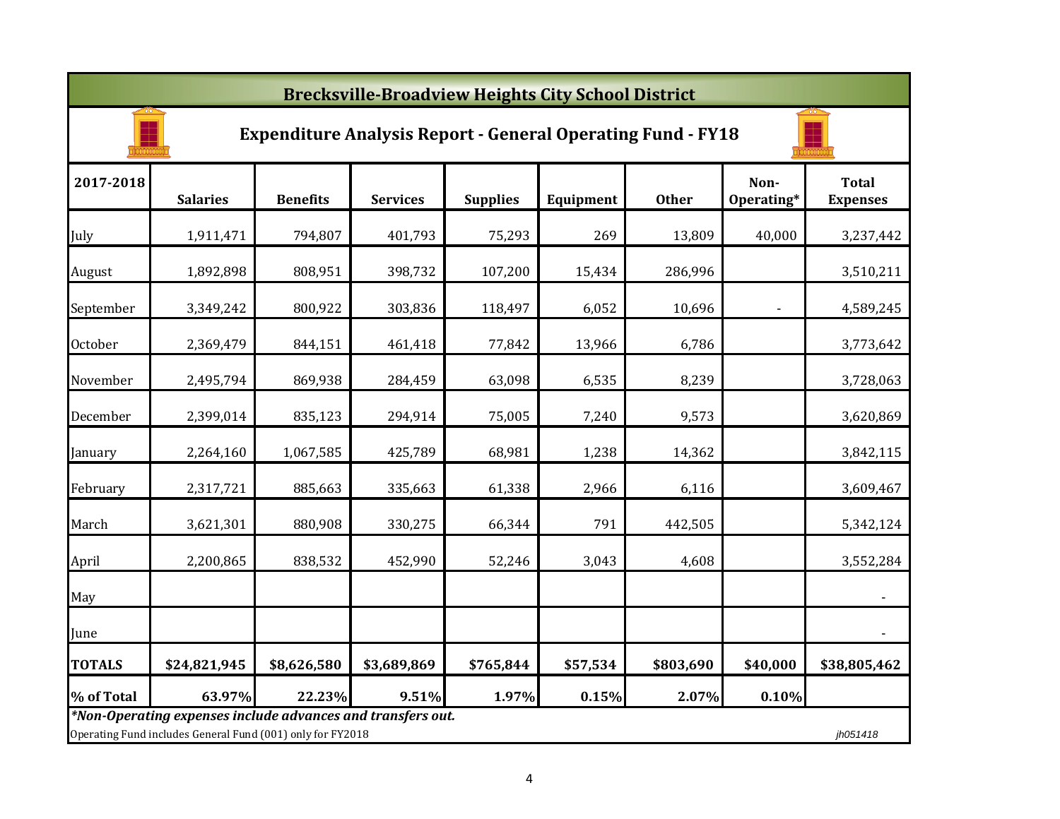|               | <b>Brecksville-Broadview Heights City School District</b>                                                                             |                 |                 |                 |           |              |                    |                                 |  |  |  |
|---------------|---------------------------------------------------------------------------------------------------------------------------------------|-----------------|-----------------|-----------------|-----------|--------------|--------------------|---------------------------------|--|--|--|
|               | <b>Expenditure Analysis Report - General Operating Fund - FY18</b>                                                                    |                 |                 |                 |           |              |                    |                                 |  |  |  |
| 2017-2018     | <b>Salaries</b>                                                                                                                       | <b>Benefits</b> | <b>Services</b> | <b>Supplies</b> | Equipment | <b>Other</b> | Non-<br>Operating* | <b>Total</b><br><b>Expenses</b> |  |  |  |
| July          | 1,911,471                                                                                                                             | 794,807         | 401,793         | 75,293          | 269       | 13,809       | 40,000             | 3,237,442                       |  |  |  |
| August        | 1,892,898                                                                                                                             | 808,951         | 398,732         | 107,200         | 15,434    | 286,996      |                    | 3,510,211                       |  |  |  |
| September     | 3,349,242                                                                                                                             | 800,922         | 303,836         | 118,497         | 6,052     | 10,696       |                    | 4,589,245                       |  |  |  |
| October       | 2,369,479                                                                                                                             | 844,151         | 461,418         | 77,842          | 13,966    | 6,786        |                    | 3,773,642                       |  |  |  |
| November      | 2,495,794                                                                                                                             | 869,938         | 284,459         | 63,098          | 6,535     | 8,239        |                    | 3,728,063                       |  |  |  |
| December      | 2,399,014                                                                                                                             | 835,123         | 294,914         | 75,005          | 7,240     | 9,573        |                    | 3,620,869                       |  |  |  |
| January       | 2,264,160                                                                                                                             | 1,067,585       | 425,789         | 68,981          | 1,238     | 14,362       |                    | 3,842,115                       |  |  |  |
| February      | 2,317,721                                                                                                                             | 885,663         | 335,663         | 61,338          | 2,966     | 6,116        |                    | 3,609,467                       |  |  |  |
| March         | 3,621,301                                                                                                                             | 880,908         | 330,275         | 66,344          | 791       | 442,505      |                    | 5,342,124                       |  |  |  |
| April         | 2,200,865                                                                                                                             | 838,532         | 452,990         | 52,246          | 3,043     | 4,608        |                    | 3,552,284                       |  |  |  |
| May           |                                                                                                                                       |                 |                 |                 |           |              |                    | $\blacksquare$                  |  |  |  |
| June          |                                                                                                                                       |                 |                 |                 |           |              |                    | $\overline{\phantom{a}}$        |  |  |  |
| <b>TOTALS</b> | \$24,821,945                                                                                                                          | \$8,626,580     | \$3,689,869     | \$765,844       | \$57,534  | \$803,690    | \$40,000           | \$38,805,462                    |  |  |  |
| % of Total    | 63.97%                                                                                                                                | 22.23%          | 9.51%           | 1.97%           | 0.15%     | 2.07%        | 0.10%              |                                 |  |  |  |
|               | *Non-Operating expenses include advances and transfers out.<br>Operating Fund includes General Fund (001) only for FY2018<br>jh051418 |                 |                 |                 |           |              |                    |                                 |  |  |  |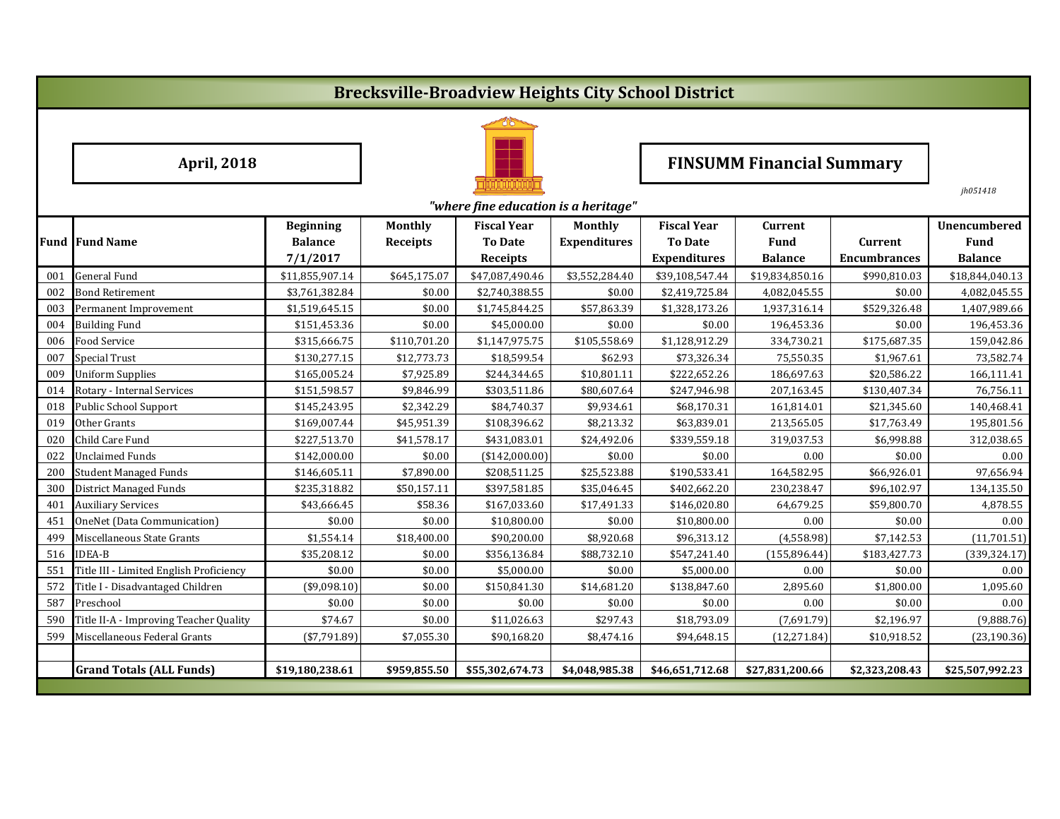# **Brecksville-Broadview Heights City School District**



## **April, 2018 FINSUMM Financial Summary**

*jh051418*

|     | "where fine education is a heritage"    |                  |                |                    |                     |                     |                 |                     |                     |  |  |
|-----|-----------------------------------------|------------------|----------------|--------------------|---------------------|---------------------|-----------------|---------------------|---------------------|--|--|
|     |                                         | <b>Beginning</b> | <b>Monthly</b> | <b>Fiscal Year</b> | <b>Monthly</b>      | <b>Fiscal Year</b>  | Current         |                     | <b>Unencumbered</b> |  |  |
|     | <b>Fund Fund Name</b>                   | <b>Balance</b>   | Receipts       | <b>To Date</b>     | <b>Expenditures</b> | <b>To Date</b>      | <b>Fund</b>     | Current             | Fund                |  |  |
|     |                                         | 7/1/2017         |                | Receipts           |                     | <b>Expenditures</b> | <b>Balance</b>  | <b>Encumbrances</b> | <b>Balance</b>      |  |  |
| 001 | <b>General Fund</b>                     | \$11,855,907.14  | \$645,175.07   | \$47,087,490.46    | \$3,552,284.40      | \$39,108,547.44     | \$19,834,850.16 | \$990,810.03        | \$18,844,040.13     |  |  |
| 002 | <b>Bond Retirement</b>                  | \$3,761,382.84   | \$0.00         | \$2,740,388.55     | \$0.00              | \$2,419,725.84      | 4,082,045.55    | \$0.00              | 4,082,045.55        |  |  |
| 003 | Permanent Improvement                   | \$1,519,645.15   | \$0.00         | \$1,745,844.25     | \$57,863.39         | \$1,328,173.26      | 1,937,316.14    | \$529,326.48        | 1,407,989.66        |  |  |
| 004 | <b>Building Fund</b>                    | \$151,453.36     | \$0.00         | \$45,000.00        | \$0.00              | \$0.00              | 196,453.36      | \$0.00              | 196,453.36          |  |  |
| 006 | Food Service                            | \$315,666.75     | \$110,701.20   | \$1,147,975.75     | \$105,558.69        | \$1,128,912.29      | 334,730.21      | \$175,687.35        | 159,042.86          |  |  |
| 007 | <b>Special Trust</b>                    | \$130,277.15     | \$12,773.73    | \$18,599.54        | \$62.93             | \$73,326.34         | 75,550.35       | \$1,967.61          | 73,582.74           |  |  |
| 009 | <b>Uniform Supplies</b>                 | \$165,005.24     | \$7,925.89     | \$244,344.65       | \$10,801.11         | \$222,652.26        | 186,697.63      | \$20,586.22         | 166,111.41          |  |  |
| 014 | Rotary - Internal Services              | \$151,598.57     | \$9,846.99     | \$303,511.86       | \$80,607.64         | \$247,946.98        | 207,163.45      | \$130,407.34        | 76,756.11           |  |  |
| 018 | <b>Public School Support</b>            | \$145,243.95     | \$2,342.29     | \$84,740.37        | \$9,934.61          | \$68,170.31         | 161,814.01      | \$21,345.60         | 140,468.41          |  |  |
| 019 | Other Grants                            | \$169,007.44     | \$45,951.39    | \$108,396.62       | \$8,213.32          | \$63,839.01         | 213,565.05      | \$17,763.49         | 195,801.56          |  |  |
| 020 | Child Care Fund                         | \$227,513.70     | \$41,578.17    | \$431,083.01       | \$24,492.06         | \$339,559.18        | 319,037.53      | \$6,998.88          | 312,038.65          |  |  |
| 022 | <b>Unclaimed Funds</b>                  | \$142,000.00     | \$0.00         | (\$142,000.00)     | \$0.00              | \$0.00              | 0.00            | \$0.00              | 0.00                |  |  |
| 200 | <b>Student Managed Funds</b>            | \$146,605.11     | \$7,890.00     | \$208,511.25       | \$25,523.88         | \$190,533.41        | 164,582.95      | \$66,926.01         | 97,656.94           |  |  |
| 300 | District Managed Funds                  | \$235,318.82     | \$50,157.11    | \$397,581.85       | \$35,046.45         | \$402,662.20        | 230,238.47      | \$96,102.97         | 134,135.50          |  |  |
| 401 | <b>Auxiliary Services</b>               | \$43,666.45      | \$58.36        | \$167,033.60       | \$17,491.33         | \$146,020.80        | 64,679.25       | \$59,800.70         | 4,878.55            |  |  |
| 451 | <b>OneNet (Data Communication)</b>      | \$0.00           | \$0.00         | \$10,800.00        | \$0.00              | \$10,800.00         | 0.00            | \$0.00              | 0.00                |  |  |
| 499 | Miscellaneous State Grants              | \$1,554.14       | \$18,400.00    | \$90,200.00        | \$8,920.68          | \$96,313.12         | (4,558.98)      | \$7,142.53          | (11,701.51)         |  |  |
| 516 | <b>IDEA-B</b>                           | \$35,208.12      | \$0.00         | \$356,136.84       | \$88,732.10         | \$547,241.40        | (155, 896.44)   | \$183,427.73        | (339, 324.17)       |  |  |
| 551 | Title III - Limited English Proficiency | \$0.00           | \$0.00         | \$5,000.00         | \$0.00              | \$5,000.00          | 0.00            | \$0.00              | 0.00                |  |  |
| 572 | Title I - Disadvantaged Children        | (\$9,098.10)     | \$0.00         | \$150,841.30       | \$14,681.20         | \$138,847.60        | 2,895.60        | \$1,800.00          | 1,095.60            |  |  |
| 587 | Preschool                               | \$0.00           | \$0.00         | \$0.00             | \$0.00              | \$0.00              | 0.00            | \$0.00              | 0.00                |  |  |
| 590 | Title II-A - Improving Teacher Quality  | \$74.67          | \$0.00         | \$11,026.63        | \$297.43            | \$18,793.09         | (7,691.79)      | \$2,196.97          | (9,888.76)          |  |  |
| 599 | Miscellaneous Federal Grants            | ( \$7,791.89)    | \$7,055.30     | \$90,168.20        | \$8,474.16          | \$94,648.15         | (12, 271.84)    | \$10,918.52         | (23, 190.36)        |  |  |
|     |                                         |                  |                |                    |                     |                     |                 |                     |                     |  |  |
|     | <b>Grand Totals (ALL Funds)</b>         | \$19,180,238.61  | \$959,855.50   | \$55,302,674.73    | \$4,048,985.38      | \$46,651,712.68     | \$27,831,200.66 | \$2,323,208.43      | \$25,507,992.23     |  |  |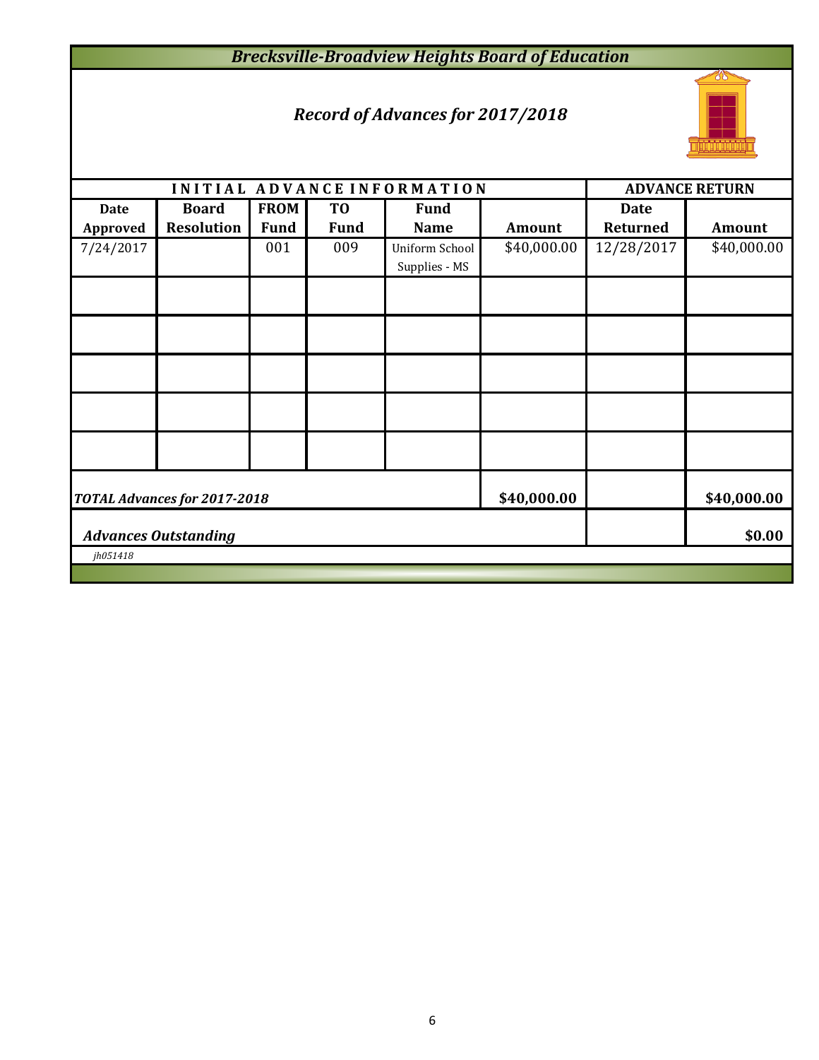# *Brecksville-Broadview Heights Board of Education*

## *Record of Advances for 2017/2018*



|                                                            |                                       |                            |                               | INITIAL ADVANCE INFORMATION     |             |                                | <b>ADVANCE RETURN</b> |  |  |  |
|------------------------------------------------------------|---------------------------------------|----------------------------|-------------------------------|---------------------------------|-------------|--------------------------------|-----------------------|--|--|--|
| <b>Date</b><br>Approved                                    | <b>Board</b><br><b>Resolution</b>     | <b>FROM</b><br><b>Fund</b> | T <sub>0</sub><br><b>Fund</b> | <b>Fund</b><br><b>Name</b>      | Amount      | <b>Date</b><br><b>Returned</b> | <b>Amount</b>         |  |  |  |
| 7/24/2017                                                  |                                       | 001                        | 009                           | Uniform School<br>Supplies - MS | \$40,000.00 | 12/28/2017                     | \$40,000.00           |  |  |  |
|                                                            |                                       |                            |                               |                                 |             |                                |                       |  |  |  |
|                                                            |                                       |                            |                               |                                 |             |                                |                       |  |  |  |
|                                                            |                                       |                            |                               |                                 |             |                                |                       |  |  |  |
|                                                            |                                       |                            |                               |                                 |             |                                |                       |  |  |  |
|                                                            |                                       |                            |                               |                                 |             |                                |                       |  |  |  |
| \$40,000.00<br>\$40,000.00<br>TOTAL Advances for 2017-2018 |                                       |                            |                               |                                 |             |                                |                       |  |  |  |
|                                                            | <b>Advances Outstanding</b><br>\$0.00 |                            |                               |                                 |             |                                |                       |  |  |  |
| jh051418                                                   |                                       |                            |                               |                                 |             |                                |                       |  |  |  |
|                                                            |                                       |                            |                               |                                 |             |                                |                       |  |  |  |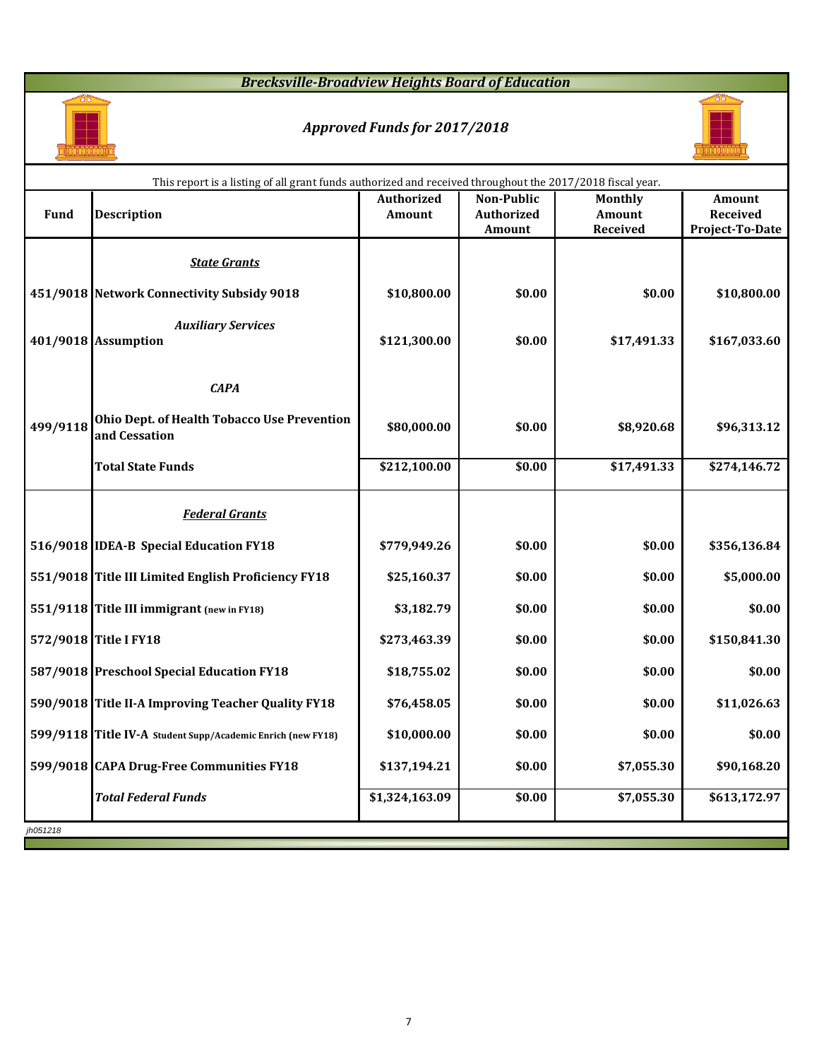### *Brecksville-Broadview Heights Board of Education*



### *Approved Funds for 2017/2018*



|             | This report is a listing of all grant funds authorized and received throughout the 2017/2018 fiscal year. |                   |                   |                |                 |
|-------------|-----------------------------------------------------------------------------------------------------------|-------------------|-------------------|----------------|-----------------|
|             |                                                                                                           | <b>Authorized</b> | <b>Non-Public</b> | <b>Monthly</b> | Amount          |
| <b>Fund</b> | <b>Description</b>                                                                                        | Amount            | Authorized        | Amount         | Received        |
|             |                                                                                                           |                   | Amount            | Received       | Project-To-Date |
|             | <b>State Grants</b>                                                                                       |                   |                   |                |                 |
|             | 451/9018 Network Connectivity Subsidy 9018                                                                | \$10,800.00       | \$0.00            | \$0.00         | \$10,800.00     |
|             | <b>Auxiliary Services</b><br>401/9018 Assumption                                                          | \$121,300.00      | \$0.00            | \$17,491.33    | \$167,033.60    |
|             | <b>CAPA</b>                                                                                               |                   |                   |                |                 |
| 499/9118    | Ohio Dept. of Health Tobacco Use Prevention<br>and Cessation                                              | \$80,000.00       | \$0.00            | \$8,920.68     | \$96,313.12     |
|             | <b>Total State Funds</b>                                                                                  | \$212,100.00      | \$0.00            | \$17,491.33    | \$274,146.72    |
|             | <b>Federal Grants</b>                                                                                     |                   |                   |                |                 |
|             | 516/9018 IDEA-B Special Education FY18                                                                    | \$779,949.26      | \$0.00            | \$0.00         | \$356,136.84    |
|             | 551/9018 Title III Limited English Proficiency FY18                                                       | \$25,160.37       | \$0.00            | \$0.00         | \$5,000.00      |
|             | 551/9118 Title III immigrant (new in FY18)                                                                | \$3,182.79        | \$0.00            | \$0.00         | \$0.00          |
|             | 572/9018 Title I FY18                                                                                     | \$273,463.39      | \$0.00            | \$0.00         | \$150,841.30    |
|             | 587/9018 Preschool Special Education FY18                                                                 | \$18,755.02       | \$0.00            | \$0.00         | \$0.00          |
|             | 590/9018 Title II-A Improving Teacher Quality FY18                                                        | \$76,458.05       | \$0.00            | \$0.00         | \$11,026.63     |
|             | 599/9118 Title IV-A Student Supp/Academic Enrich (new FY18)                                               | \$10,000.00       | \$0.00            | \$0.00         | \$0.00          |
|             | 599/9018 CAPA Drug-Free Communities FY18                                                                  | \$137,194.21      | \$0.00            | \$7,055.30     | \$90,168.20     |
|             | <b>Total Federal Funds</b>                                                                                | \$1,324,163.09    | \$0.00            | \$7,055.30     | \$613,172.97    |
| jh051218    |                                                                                                           |                   |                   |                |                 |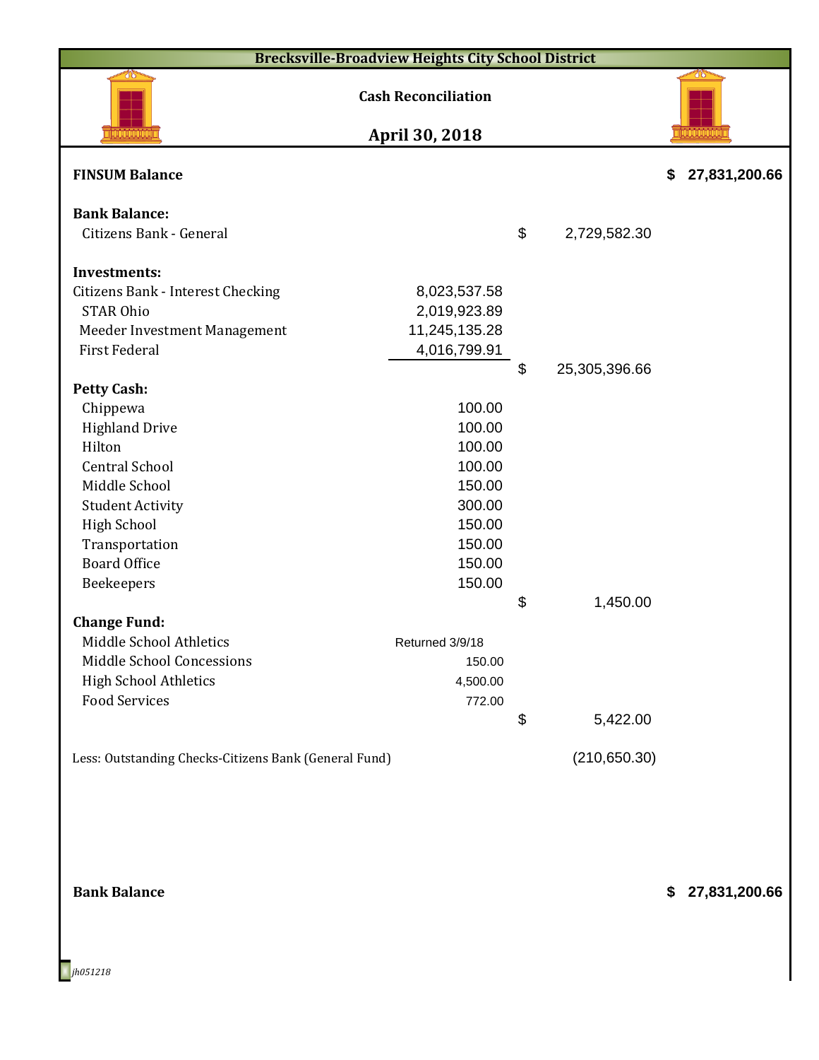|                                                                                                                                                                                                                                                                                                                                                            | <b>Brecksville-Broadview Heights City School District</b>                                                                                           |       |               |                     |
|------------------------------------------------------------------------------------------------------------------------------------------------------------------------------------------------------------------------------------------------------------------------------------------------------------------------------------------------------------|-----------------------------------------------------------------------------------------------------------------------------------------------------|-------|---------------|---------------------|
|                                                                                                                                                                                                                                                                                                                                                            | <b>Cash Reconciliation</b>                                                                                                                          |       |               |                     |
|                                                                                                                                                                                                                                                                                                                                                            | April 30, 2018                                                                                                                                      |       |               |                     |
| <b>FINSUM Balance</b>                                                                                                                                                                                                                                                                                                                                      |                                                                                                                                                     |       |               | \$<br>27,831,200.66 |
| <b>Bank Balance:</b><br>Citizens Bank - General                                                                                                                                                                                                                                                                                                            |                                                                                                                                                     | $\$\$ | 2,729,582.30  |                     |
| <b>Investments:</b>                                                                                                                                                                                                                                                                                                                                        |                                                                                                                                                     |       |               |                     |
| Citizens Bank - Interest Checking<br><b>STAR Ohio</b><br>Meeder Investment Management<br><b>First Federal</b>                                                                                                                                                                                                                                              | 8,023,537.58<br>2,019,923.89<br>11,245,135.28<br>4,016,799.91                                                                                       |       |               |                     |
|                                                                                                                                                                                                                                                                                                                                                            |                                                                                                                                                     | \$    | 25,305,396.66 |                     |
| <b>Petty Cash:</b><br>Chippewa<br><b>Highland Drive</b><br>Hilton<br><b>Central School</b><br>Middle School<br><b>Student Activity</b><br><b>High School</b><br>Transportation<br><b>Board Office</b><br>Beekeepers<br><b>Change Fund:</b><br>Middle School Athletics<br>Middle School Concessions<br><b>High School Athletics</b><br><b>Food Services</b> | 100.00<br>100.00<br>100.00<br>100.00<br>150.00<br>300.00<br>150.00<br>150.00<br>150.00<br>150.00<br>Returned 3/9/18<br>150.00<br>4,500.00<br>772.00 | \$    | 1,450.00      |                     |
|                                                                                                                                                                                                                                                                                                                                                            |                                                                                                                                                     | \$    | 5,422.00      |                     |
| Less: Outstanding Checks-Citizens Bank (General Fund)                                                                                                                                                                                                                                                                                                      |                                                                                                                                                     |       | (210, 650.30) |                     |
| <b>Bank Balance</b>                                                                                                                                                                                                                                                                                                                                        |                                                                                                                                                     |       |               | \$<br>27,831,200.66 |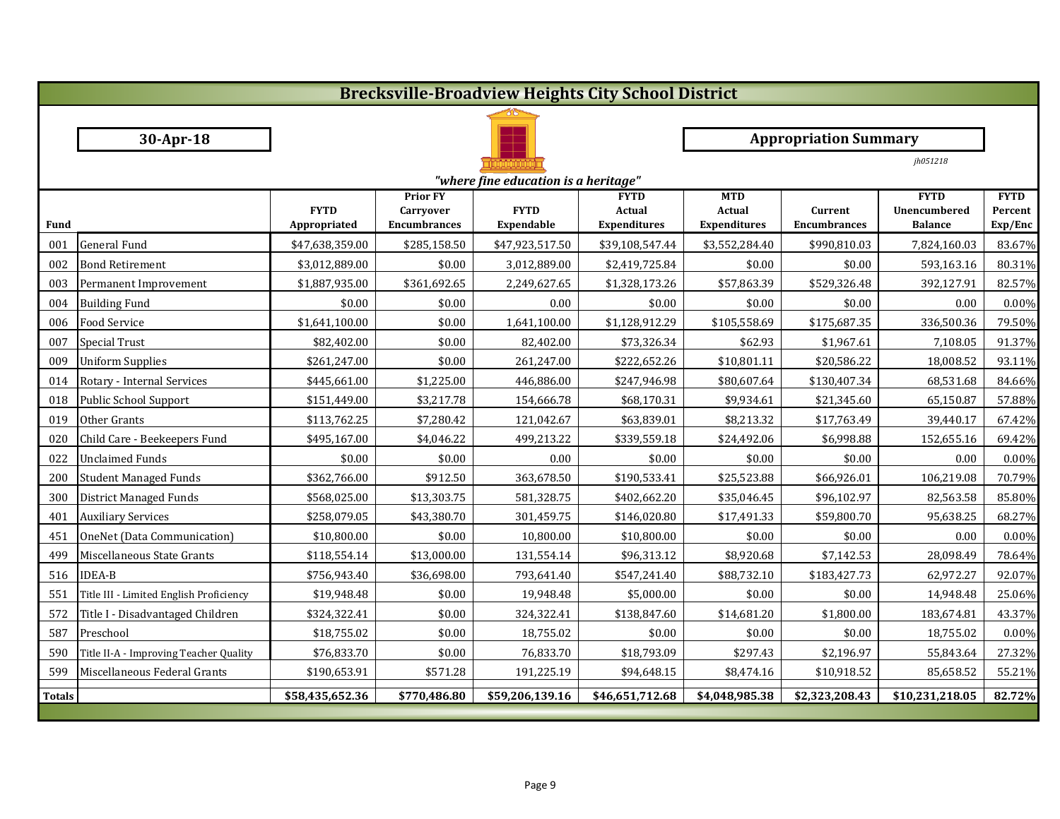|               | <b>Brecksville-Broadview Heights City School District</b> |                 |                                  |                                      |                               |                               |                                |                                |                    |  |  |
|---------------|-----------------------------------------------------------|-----------------|----------------------------------|--------------------------------------|-------------------------------|-------------------------------|--------------------------------|--------------------------------|--------------------|--|--|
|               |                                                           |                 |                                  |                                      |                               |                               |                                |                                |                    |  |  |
|               | 30-Apr-18                                                 |                 |                                  |                                      |                               |                               | <b>Appropriation Summary</b>   |                                |                    |  |  |
|               |                                                           |                 |                                  |                                      |                               |                               |                                | jh051218                       |                    |  |  |
|               |                                                           |                 |                                  | "where fine education is a heritage" |                               |                               |                                |                                |                    |  |  |
|               |                                                           | <b>FYTD</b>     | <b>Prior FY</b>                  | <b>FYTD</b>                          | <b>FYTD</b>                   | <b>MTD</b>                    |                                | <b>FYTD</b>                    | <b>FYTD</b>        |  |  |
| <b>Fund</b>   |                                                           | Appropriated    | Carryover<br><b>Encumbrances</b> | Expendable                           | Actual<br><b>Expenditures</b> | Actual<br><b>Expenditures</b> | Current<br><b>Encumbrances</b> | Unencumbered<br><b>Balance</b> | Percent<br>Exp/Enc |  |  |
| 001           | <b>General Fund</b>                                       | \$47,638,359.00 | \$285,158.50                     | \$47,923,517.50                      | \$39,108,547.44               | \$3,552,284.40                | \$990,810.03                   | 7,824,160.03                   | 83.67%             |  |  |
| 002           | <b>Bond Retirement</b>                                    | \$3,012,889.00  | \$0.00                           | 3,012,889.00                         | \$2,419,725.84                | \$0.00                        | \$0.00                         | 593,163.16                     | 80.31%             |  |  |
| 003           | Permanent Improvement                                     | \$1,887,935.00  | \$361,692.65                     | 2,249,627.65                         | \$1,328,173.26                | \$57,863.39                   | \$529,326.48                   | 392,127.91                     | 82.57%             |  |  |
| 004           | <b>Building Fund</b>                                      | \$0.00          | \$0.00                           | 0.00                                 | \$0.00                        | \$0.00                        | \$0.00                         | 0.00                           | 0.00%              |  |  |
| 006           | <b>Food Service</b>                                       | \$1,641,100.00  | \$0.00                           | 1,641,100.00                         | \$1,128,912.29                | \$105,558.69                  | \$175,687.35                   | 336,500.36                     | 79.50%             |  |  |
| 007           | <b>Special Trust</b>                                      | \$82,402.00     | \$0.00                           | 82,402.00                            | \$73,326.34                   | \$62.93                       | \$1,967.61                     | 7,108.05                       | 91.37%             |  |  |
| 009           | <b>Uniform Supplies</b>                                   | \$261,247.00    | \$0.00                           | 261,247.00                           | \$222,652.26                  | \$10,801.11                   | \$20,586.22                    | 18,008.52                      | 93.11%             |  |  |
| 014           | Rotary - Internal Services                                | \$445,661.00    | \$1,225.00                       | 446,886.00                           | \$247,946.98                  | \$80,607.64                   | \$130,407.34                   | 68,531.68                      | 84.66%             |  |  |
| 018           | Public School Support                                     | \$151,449.00    | \$3,217.78                       | 154,666.78                           | \$68,170.31                   | \$9,934.61                    | \$21,345.60                    | 65,150.87                      | 57.88%             |  |  |
| 019           | Other Grants                                              | \$113,762.25    | \$7,280.42                       | 121,042.67                           | \$63,839.01                   | \$8,213.32                    | \$17,763.49                    | 39,440.17                      | 67.42%             |  |  |
| 020           | Child Care - Beekeepers Fund                              | \$495,167.00    | \$4,046.22                       | 499,213.22                           | \$339,559.18                  | \$24,492.06                   | \$6,998.88                     | 152,655.16                     | 69.42%             |  |  |
| 022           | <b>Unclaimed Funds</b>                                    | \$0.00          | \$0.00                           | 0.00                                 | \$0.00                        | \$0.00                        | \$0.00                         | 0.00                           | 0.00%              |  |  |
| 200           | <b>Student Managed Funds</b>                              | \$362,766.00    | \$912.50                         | 363,678.50                           | \$190,533.41                  | \$25,523.88                   | \$66,926.01                    | 106,219.08                     | 70.79%             |  |  |
| 300           | <b>District Managed Funds</b>                             | \$568,025.00    | \$13,303.75                      | 581,328.75                           | \$402,662.20                  | \$35,046.45                   | \$96,102.97                    | 82,563.58                      | 85.80%             |  |  |
| 401           | <b>Auxiliary Services</b>                                 | \$258,079.05    | \$43,380.70                      | 301,459.75                           | \$146,020.80                  | \$17,491.33                   | \$59,800.70                    | 95,638.25                      | 68.27%             |  |  |
| 451           | OneNet (Data Communication)                               | \$10,800.00     | \$0.00                           | 10,800.00                            | \$10,800.00                   | \$0.00                        | \$0.00                         | 0.00                           | 0.00%              |  |  |
| 499           | Miscellaneous State Grants                                | \$118,554.14    | \$13,000.00                      | 131,554.14                           | \$96,313.12                   | \$8,920.68                    | \$7,142.53                     | 28,098.49                      | 78.64%             |  |  |
| 516           | <b>IDEA-B</b>                                             | \$756,943.40    | \$36,698.00                      | 793,641.40                           | \$547,241.40                  | \$88,732.10                   | \$183,427.73                   | 62,972.27                      | 92.07%             |  |  |
| 551           | Title III - Limited English Proficiency                   | \$19,948.48     | \$0.00                           | 19,948.48                            | \$5,000.00                    | \$0.00                        | \$0.00                         | 14,948.48                      | 25.06%             |  |  |
| 572           | Title I - Disadvantaged Children                          | \$324,322.41    | \$0.00                           | 324,322.41                           | \$138,847.60                  | \$14,681.20                   | \$1,800.00                     | 183,674.81                     | 43.37%             |  |  |
| 587           | Preschool                                                 | \$18,755.02     | \$0.00                           | 18,755.02                            | \$0.00                        | \$0.00                        | \$0.00                         | 18,755.02                      | 0.00%              |  |  |
| 590           | Title II-A - Improving Teacher Quality                    | \$76,833.70     | \$0.00                           | 76,833.70                            | \$18,793.09                   | \$297.43                      | \$2,196.97                     | 55,843.64                      | 27.32%             |  |  |
| 599           | Miscellaneous Federal Grants                              | \$190,653.91    | \$571.28                         | 191,225.19                           | \$94,648.15                   | \$8,474.16                    | \$10,918.52                    | 85,658.52                      | 55.21%             |  |  |
| <b>Totals</b> |                                                           | \$58,435,652.36 | \$770,486.80                     | \$59,206,139.16                      | \$46,651,712.68               | \$4,048,985.38                | \$2,323,208.43                 | \$10,231,218.05                | 82.72%             |  |  |
|               |                                                           |                 |                                  |                                      |                               |                               |                                |                                |                    |  |  |